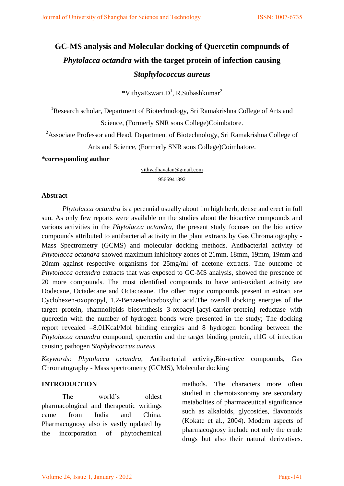# **GC-MS analysis and Molecular docking of Quercetin compounds of**  *Phytolacca octandra* **with the target protein of infection causing**  *Staphylococcus aureus*

 $*V$ ithyaEswari.D<sup>1</sup>, R.Subashkumar<sup>2</sup>

<sup>1</sup>Research scholar, Department of Biotechnology, Sri Ramakrishna College of Arts and Science, (Formerly SNR sons College)Coimbatore.

 $2A$ ssociate Professor and Head, Department of Biotechnology, Sri Ramakrishna College of Arts and Science, (Formerly SNR sons College)Coimbatore.

**\*corresponding author** 

[vithyadhayalan@gmail.com](mailto:vithyadhayalan@gmail.com)  9566941392

#### **Abstract**

*Phytolacca octandra* is a perennial usually about 1m high herb, dense and erect in full sun. As only few reports were available on the studies about the bioactive compounds and various activities in the *Phytolacca octandra*, the present study focuses on the bio active compounds attributed to antibacterial activity in the plant extracts by Gas Chromatography - Mass Spectrometry (GCMS) and molecular docking methods. Antibacterial activity of *Phytolacca octandra* showed maximum inhibitory zones of 21mm, 18mm, 19mm, 19mm and 20mm against respective organisms for 25mg/ml of acetone extracts. The outcome of *Phytolacca octandra* extracts that was exposed to GC-MS analysis, showed the presence of 20 more compounds. The most identified compounds to have anti-oxidant activity are Dodecane, Octadecane and Octacosane. The other major compounds present in extract are Cyclohexen-oxopropyl, 1,2-Benzenedicarboxylic acid.The overall docking energies of the target protein, rhamnolipids biosynthesis 3-oxoacyl-[acyl-carrier-protein] reductase with quercetin with the number of hydrogen bonds were presented in the study; The docking report revealed –8.01Kcal/Mol binding energies and 8 hydrogen bonding between the *Phytolacca octandra* compound, quercetin and the target binding protein, rhlG of infection causing pathogen *Staphylococcus aureus.* 

*Keywords*: *Phytolacca octandra*, Antibacterial activity,Bio-active compounds, Gas Chromatography - Mass spectrometry (GCMS), Molecular docking

#### **INTRODUCTION**

The world's oldest pharmacological and therapeutic writings came from India and China. Pharmacognosy also is vastly updated by the incorporation of phytochemical methods. The characters more often studied in chemotaxonomy are secondary metabolites of pharmaceutical significance such as alkaloids, glycosides, flavonoids (Kokate et al., 2004). Modern aspects of pharmacognosy include not only the crude drugs but also their natural derivatives.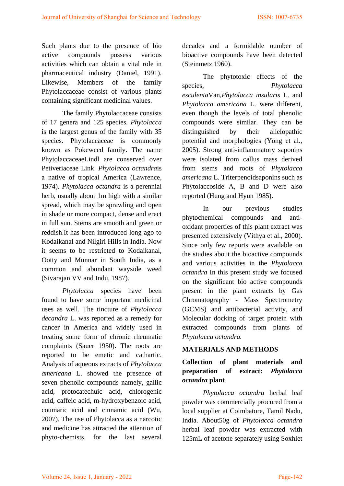Such plants due to the presence of bio active compounds possess various activities which can obtain a vital role in pharmaceutical industry (Daniel, 1991). Likewise, Members of the family Phytolaccaceae consist of various plants containing significant medicinal values.

The family Phytolaccaceae consists of 17 genera and 125 species. *Phytolacca*  is the largest genus of the family with 35 species. Phytolaccaceae is commonly known as Pokeweed family. The name PhytolaccaceaeLindl are conserved over Petiveriaceae Link. *Phytolacca octandra*is a native of tropical America (Lawrence, 1974). *Phytolacca octandra* is a perennial herb, usually about 1m high with a similar spread, which may be sprawling and open in shade or more compact, dense and erect in full sun. Stems are smooth and green or reddish.It has been introduced long ago to Kodaikanal and Nilgiri Hills in India. Now it seems to be restricted to Kodaikanal, Ootty and Munnar in South India, as a common and abundant wayside weed (Sivarajan VV and Indu, 1987).

*Phytolacca* species have been found to have some important medicinal uses as well. The tincture of *Phytolacca decandra* L. was reported as a remedy for cancer in America and widely used in treating some form of chronic rheumatic complaints (Sauer 1950). The roots are reported to be emetic and cathartic. Analysis of aqueous extracts of *Phytolacca americana* L. showed the presence of seven phenolic compounds namely, gallic acid, protocatechuic acid, chlorogenic acid, caffeic acid, m-hydroxybenzoic acid, coumaric acid and cinnamic acid (Wu, 2007). The use of Phytolacca as a narcotic and medicine has attracted the attention of phyto-chemists, for the last several

decades and a formidable number of bioactive compounds have been detected (Steinmetz 1960).

The phytotoxic effects of the species, *Phytolacca esculenta*Van,*Phytolacca insularis* L. and *Phytolacca americana* L. were different, even though the levels of total phenolic compounds were similar. They can be distinguished by their allelopathic potential and morphologies (Yong et al., 2005). Strong anti-inflammatory saponins were isolated from callus mass derived from stems and roots of *Phytolacca americana* L. Triterpenoidsaponins such as Phytolaccoside A, B and D were also reported (Hung and Hyun 1985).

In our previous studies phytochemical compounds and antioxidant properties of this plant extract was presented extensively (Vithya et al., 2000). Since only few reports were available on the studies about the bioactive compounds and various activities in the *Phytolacca octandra* In this present study we focused on the significant bio active compounds present in the plant extracts by Gas Chromatography - Mass Spectrometry (GCMS) and antibacterial activity, and Molecular docking of target protein with extracted compounds from plants of *Phytolacca octandra.*

#### **MATERIALS AND METHODS**

# **Collection of plant materials and preparation of extract:** *Phytolacca octandra* **plant**

*Phytolacca octandra* herbal leaf powder was commercially procured from a local supplier at Coimbatore, Tamil Nadu, India. About50g of *Phytolacca octandra*  herbal leaf powder was extracted with 125mL of acetone separately using Soxhlet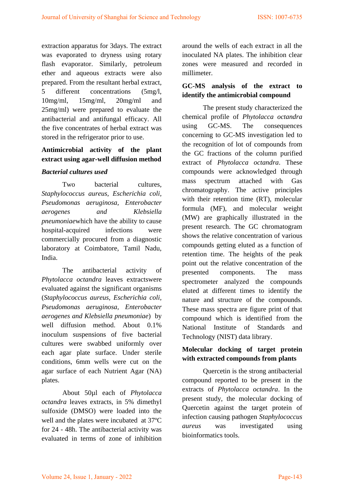extraction apparatus for 3days. The extract was evaporated to dryness using rotary flash evaporator. Similarly, petroleum ether and aqueous extracts were also prepared. From the resultant herbal extract, 5 different concentrations (5mg/l, 10mg/ml, 15mg/ml, 20mg/ml and 25mg/ml) were prepared to evaluate the antibacterial and antifungal efficacy. All the five concentrates of herbal extract was stored in the refrigerator prior to use.

# **Antimicrobial activity of the plant extract using agar-well diffusion method**

#### *Bacterial cultures used*

Two bacterial cultures, *Staphylococcus aureus, Escherichia coli, Pseudomonas aeruginosa, Enterobacter aerogenes and Klebsiella pneumoniae*which have the ability to cause hospital-acquired infections were commercially procured from a diagnostic laboratory at Coimbatore, Tamil Nadu, India.

The antibacterial activity of *Phytolacca octandra* leaves extractswere evaluated against the significant organisms (*Staphylococcus aureus, Escherichia coli, Pseudomonas aeruginosa, Enterobacter aerogenes and Klebsiella pneumoniae*) by well diffusion method. About 0.1% inoculum suspensions of five bacterial cultures were swabbed uniformly over each agar plate surface. Under sterile conditions, 6mm wells were cut on the agar surface of each Nutrient Agar (NA) plates.

About 50µl each of *Phytolacca octandra* leaves extracts, in 5% dimethyl sulfoxide (DMSO) were loaded into the well and the plates were incubated at 37ºC for 24 - 48h. The antibacterial activity was evaluated in terms of zone of inhibition

around the wells of each extract in all the inoculated NA plates. The inhibition clear zones were measured and recorded in millimeter.

## **GC-MS analysis of the extract to identify the antimicrobial compound**

The present study characterized the chemical profile of *Phytolacca octandra* using GC-MS. The consequences concerning to GC-MS investigation led to the recognition of lot of compounds from the GC fractions of the column purified extract of *Phytolacca octandra*. These compounds were acknowledged through mass spectrum attached with Gas chromatography. The active principles with their retention time (RT), molecular formula (MF), and molecular weight (MW) are graphically illustrated in the present research. The GC chromatogram shows the relative concentration of various compounds getting eluted as a function of retention time. The heights of the peak point out the relative concentration of the presented components. The mass spectrometer analyzed the compounds eluted at different times to identify the nature and structure of the compounds. These mass spectra are figure print of that compound which is identified from the National Institute of Standards and Technology (NIST) data library.

## **Molecular docking of target protein with extracted compounds from plants**

Quercetin is the strong antibacterial compound reported to be present in the extracts of *Phytolacca octandra*. In the present study, the molecular docking of Quercetin against the target protein of infection causing pathogen *Staphylococcus aureus* was investigated using bioinformatics tools.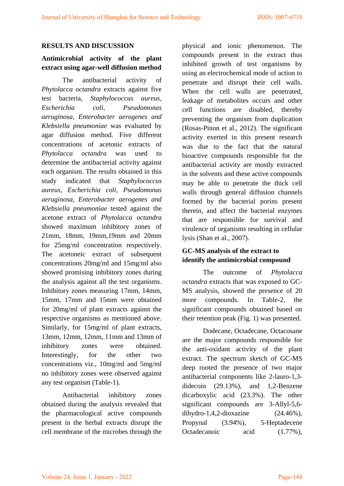#### **RESULTS AND DISCUSSION**

# **Antimicrobial activity of the plant extract using agar-well diffusion method**

The antibacterial activity of *Phytolacca octandra* extracts against five test bacteria, *Staphylococcus aureus, Escherichia coli, Pseudomonas aeruginosa, Enterobacter aerogenes and Klebsiella pneumoniae* was evaluated by agar diffusion method. Five different concentrations of acetonic extracts of *Phytolacca octandra* was used to determine the antibacterial activity against each organism. The results obtained in this study indicated that *Staphylococcus aureus, Escherichia coli, Pseudomonas aeruginosa, Enterobacter aerogenes and Klebsiella pneumoniae* tested against the acetone extract of *Phytolacca octandra* showed maximum inhibitory zones of 21mm, 18mm, 19mm,19mm and 20mm for 25mg/ml concentration respectively. The acetoneic extract of subsequent concentrations 20mg/ml and 15mg/ml also showed promising inhibitory zones during the analysis against all the test organisms. Inhibitory zones measuring 17mm, 14mm, 15mm, 17mm and 15mm were obtained for 20mg/ml of plant extracts against the respective organisms as mentioned above. Similarly, for 15mg/ml of plant extracts, 13mm, 12mm, 12mm, 11mm and 13mm of inhibitory zones were obtained. Interestingly, for the other two concentrations viz., 10mg/ml and 5mg/ml no inhibitory zones were observed against any test organism (Table-1).

Antibacterial inhibitory zones obtained during the analysis revealed that the pharmacological active compounds present in the herbal extracts disrupt the cell membrane of the microbes through the

physical and ionic phenomenon. The compounds present in the extract thus inhibited growth of test organisms by using an electrochemical mode of action to penetrate and disrupt their cell walls. When the cell walls are penetrated, leakage of metabolites occurs and other cell functions are disabled, thereby preventing the organism from duplication (Rosas-Pinon et al., 2012). The significant activity exerted in this present research was due to the fact that the natural bioactive compounds responsible for the antibacterial activity are mostly extracted in the solvents and these active compounds may be able to penetrate the thick cell walls through general diffusion channels formed by the bacterial porins present therein, and affect the bacterial enzymes that are responsible for survival and virulence of organisms resulting in cellular lysis (Shan et al., 2007).

## **GC-MS analysis of the extract to identify the antimicrobial compound**

The outcome of *Phytolacca octandra* extracts that was exposed to GC-MS analysis, showed the presence of 20 more compounds. In Table-2, the significant compounds obtained based on their retention peak (Fig. 1) was presented.

Dodecane, Octadecane, Octacosane are the major compounds responsible for the anti-oxidant activity of the plant extract. The spectrum sketch of GC-MS deep rooted the presence of two major antibacterial components like 2-lauro-1,3 didecoin (29.13%), and 1,2-Benzene dicarboxylic acid (23.3%). The other significant compounds are 3-Allyl-5,6 dihydro-1,4,2-dioxazine  $(24.46\%)$ , Propynal (3.94%), 5-Heptadecene Octadecanoic acid  $(1.77\%)$ ,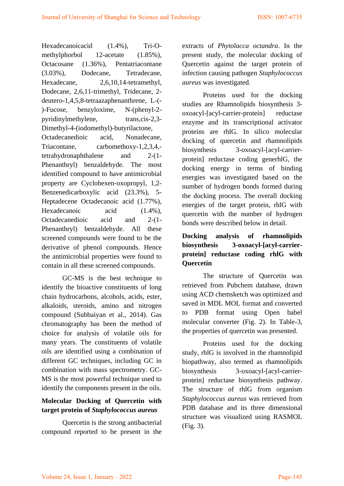Hexadecanoicacid (1.4%), Tri-Omethylphorbol 12-acetate (1.85%), Octacosane (1.36%), Pentatriacontane (3.03%), Dodecane, Tetradecane, Hexadecane, 2,6,10,14-tetramethyl, Dodecane, 2,6,11-trimethyl, Tridecane, 2 deutero-1,4,5,8-tetraazaphenanthrene, L-(- )-Fucose, benzyloxime, N-(phenyl-2 pyridinylmethylene, trans,cis-2,3- Dimethyl-4-(iodomethyl)-butyrilactone, Octadecanedioic acid, Nonadecane, Triacontane, carbomethoxy-1,2,3,4, tetrahydronaphthalene and 2-(1- Phenanthryl) benzaldehyde. The most identified compound to have antimicrobial property are Cyclohexen-oxopropyl, 1,2- Benzenedicarboxylic acid (23.3%), 5- Heptadecene Octadecanoic acid (1.77%), Hexadecanoic acid  $(1.4\%)$ , Octadecanedioic acid and 2-(1- Phenanthryl) benzaldehyde. All these screened compounds were found to be the derivative of phenol compounds. Hence the antimicrobial properties were found to contain in all these screened compounds.

GC-MS is the best technique to identify the bioactive constituents of long chain hydrocarbons, alcohols, acids, ester, alkaloids, steroids, amino and nitrogen compound (Subbaiyan et al., 2014). Gas chromatography has been the method of choice for analysis of volatile oils for many years. The constituents of volatile oils are identified using a combination of different GC techniques, including GC in combination with mass spectrometry. GC-MS is the most powerful technique used to identify the components present in the oils.

## **Molecular Docking of Quercetin with target protein of** *Staphylococcus aureus*

Quercetin is the strong antibacterial compound reported to be present in the extracts of *Phytolacca octandra*. In the present study, the molecular docking of Quercetin against the target protein of infection causing pathogen *Staphylococcus aureus* was investigated.

Proteins used for the docking studies are Rhamnolipids biosynthesis 3 oxoacyl-[acyl-carrier-protein] reductase enzyme and its transcriptional activator proteins are rhlG. In silico molecular docking of quercetin and rhamnolipids biosynthesis 3-oxoacyl-[acyl-carrierprotein] reductase coding generhlG, the docking energy in terms of binding energies was investigated based on the number of hydrogen bonds formed during the docking process. The overall docking energies of the target protein, rhlG with quercetin with the number of hydrogen bonds were described below in detail.

## **Docking analysis of rhamnolipids biosynthesis 3-oxoacyl-[acyl-carrierprotein] reductase coding rhlG with Quercetin**

The structure of Quercetin was retrieved from Pubchem database, drawn using ACD chemsketch was optimized and saved in MDL MOL format and converted to PDB format using Open babel molecular converter (Fig. 2). In Table-3, the properties of quercetin was presented.

Proteins used for the docking study, rhlG is involved in the rhamnolipid biopathway, also termed as rhamnolipids biosynthesis 3-oxoacyl-[acyl-carrierprotein] reductase biosynthesis pathway. The structure of rhlG from organism *Staphylococcus aureus* was retrieved from PDB database and its three dimensional structure was visualized using RASMOL (Fig. 3).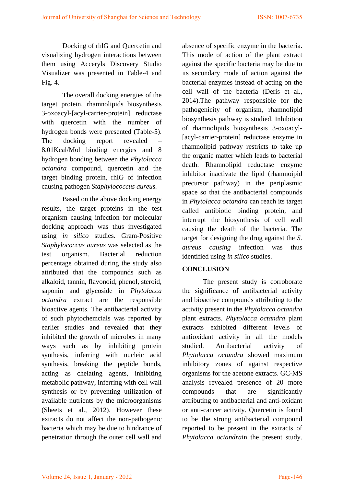Docking of rhlG and Quercetin and visualizing hydrogen interactions between them using Acceryls Discovery Studio Visualizer was presented in Table-4 and Fig. 4.

The overall docking energies of the target protein, rhamnolipids biosynthesis 3-oxoacyl-[acyl-carrier-protein] reductase with quercetin with the number of hydrogen bonds were presented (Table-5). The docking report revealed 8.01Kcal/Mol binding energies and 8 hydrogen bonding between the *Phytolacca octandra* compound, quercetin and the target binding protein, rhlG of infection causing pathogen *Staphylococcus aureus.* 

Based on the above docking energy results, the target proteins in the test organism causing infection for molecular docking approach was thus investigated using *in silico* studies. Gram-Positive *Staphylococcus aureus* was selected as the test organism. Bacterial reduction percentage obtained during the study also attributed that the compounds such as alkaloid, tannin, flavonoid, phenol, steroid, saponin and glycoside in *Phytolacca octandra* extract are the responsible bioactive agents. The antibacterial activity of such phytochemcials was reported by earlier studies and revealed that they inhibited the growth of microbes in many ways such as by inhibiting protein synthesis, inferring with nucleic acid synthesis, breaking the peptide bonds, acting as chelating agents, inhibiting metabolic pathway, inferring with cell wall synthesis or by preventing utilization of available nutrients by the microorganisms (Sheets et al., 2012). However these extracts do not affect the non-pathogenic bacteria which may be due to hindrance of penetration through the outer cell wall and

absence of specific enzyme in the bacteria. This mode of action of the plant extract against the specific bacteria may be due to its secondary mode of action against the bacterial enzymes instead of acting on the cell wall of the bacteria (Deris et al., 2014).The pathway responsible for the pathogenicity of organism, rhamnolipid biosynthesis pathway is studied. Inhibition of rhamnolipids biosynthesis 3-oxoacyl- [acyl-carrier-protein] reductase enzyme in rhamnolipid pathway restricts to take up the organic matter which leads to bacterial death. Rhamnolipid reductase enzyme inhibitor inactivate the lipid (rhamnoipid precursor pathway) in the periplasmic space so that the antibacterial compounds in *Phytolacca octandra* can reach its target called antibiotic binding protein, and interrupt the biosynthesis of cell wall causing the death of the bacteria. The target for designing the drug against the *S. aureus causing* infection was thus identified using *in silico* studies.

#### **CONCLUSION**

The present study is corroborate the significance of antibacterial activity and bioactive compounds attributing to the activity present in the *Phytolacca octandra* plant extracts. *Phytolacca octandra* plant extracts exhibited different levels of antioxidant activity in all the models studied. Antibacterial activity of *Phytolacca octandra* showed maximum inhibitory zones of against respective organisms for the acetone extracts. GC-MS analysis revealed presence of 20 more compounds that are significantly attributing to antibacterial and anti-oxidant or anti-cancer activity. Quercetin is found to be the strong antibacterial compound reported to be present in the extracts of *Phytolacca octandra*in the present study.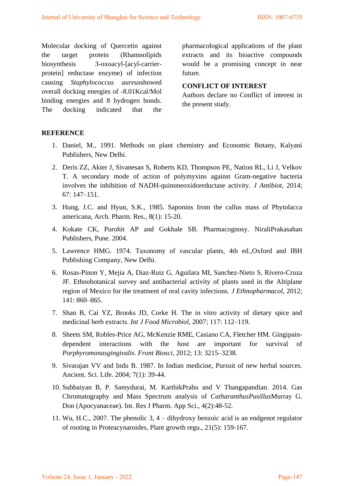Molecular docking of Quercetin against the target protein (Rhamnolipids biosynthesis 3-oxoacyl-[acyl-carrierprotein] reductase enzyme) of infection causing *Staphylococcus aureus*showed overall docking energies of -8.01Kcal/Mol binding energies and 8 hydrogen bonds. The docking indicated that the

pharmacological applications of the plant extracts and its bioactive compounds would be a promising concept in near future.

#### **CONFLICT OF INTEREST**

Authors declare no Conflict of interest in the present study.

#### **REFERENCE**

- 1. Daniel, M., 1991. Methods on plant chemistry and Economic Botany, Kalyani Publishers, New Delhi.
- 2. Deris ZZ, Akter J, Sivanesan S, Roberts KD, Thompson PE, Nation RL, Li J, Velkov T. A secondary mode of action of polymyxins against Gram-negative bacteria involves the inhibition of NADH-quinoneoxidoreductase activity. *J Antibiot*, 2014; 67: 147–151.
- 3. Hung, J.C. and Hyun, S.K., 1985. Saponins from the callus mass of Phytolacca americana, Arch. Pharm. Res., 8(1): 15-20.
- 4. Kokate CK, Purohit AP and Gokhale SB. Pharmacognosy*.* NiraliPrakasahan Publishers, Pune. 2004.
- 5. Lawrence HMG. 1974. Taxonomy of vascular plants, 4th ed.,Oxford and IBH Publishing Company, New Delhi.
- 6. Rosas-Pinon Y, Mejia A, Diaz-Ruiz G, Aguilara MI, Sanchez-Nieto S, Rivero-Cruza JF. Ethnobotanical survey and antibacterial activity of plants used in the Altiplane region of Mexico for the treatment of oral cavity infections. *J Ethnopharmacol,* 2012; 141: 860–865.
- 7. Shan B, Cai YZ, Brooks JD, Corke H. The in vitro activity of dietary spice and medicinal herb extracts. *Int J Food Microbiol*, 2007; 117: 112–119.
- 8. Sheets SM, Robles-Price AG, McKenzie RME, Casiano CA, Fletcher HM. Gingipaindependent interactions with the host are important for survival of *Porphyromonasgingivalis*. *Front Biosci*, 2012; 13: 3215–3238.
- 9. Sivarajan VV and Indu B. 1987. In Indian medicine, Pursuit of new herbal sources. Ancient. Sci. Life. 2004; 7(1): 39-44.
- 10. Subbaiyan B, P. Samydurai, M. KarthikPrabu and V Thangapandian. 2014. Gas Chromatography and Mass Spectrum analysis of *CatharanthusPusillus*Murray G. Don (Apocyanaceae). Int. Res J Pharm. App Sci., 4(2):48-52.
- 11. Wu, H.C., 2007. The phenolic 3, 4 dihydroxy benzoic acid is an endgenot regulator of rooting in Proteacynaroides, Plant growth regu., 21(5): 159-167.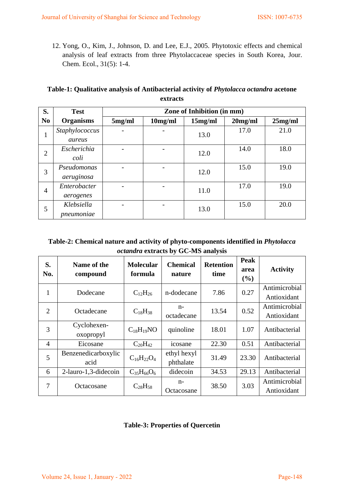12. Yong, O., Kim, J., Johnson, D. and Lee, E.J., 2005. Phytotoxic effects and chemical analysis of leaf extracts from three Phytolaccaceae species in South Korea, Jour. Chem. Ecol., 31(5): 1-4.

## **Table-1: Qualitative analysis of Antibacterial activity of** *Phytolacca octandra* **acetone extracts**

| S.             | <b>Test</b>               | Zone of Inhibition (in mm) |         |         |            |         |
|----------------|---------------------------|----------------------------|---------|---------|------------|---------|
| N <sub>0</sub> | <b>Organisms</b>          | 5mg/ml                     | 10mg/ml | 15mg/ml | $20$ mg/ml | 25mg/ml |
| $\bf{r}$       | Staphylococcus<br>aureus  |                            |         | 13.0    | 17.0       | 21.0    |
| $\overline{2}$ | Escherichia<br>coli       |                            |         | 12.0    | 14.0       | 18.0    |
| 3              | Pseudomonas<br>aeruginosa |                            |         | 12.0    | 15.0       | 19.0    |
| $\overline{4}$ | Enterobacter<br>aerogenes |                            |         | 11.0    | 17.0       | 19.0    |
| 5              | Klebsiella<br>pneumoniae  |                            |         | 13.0    | 15.0       | 20.0    |

## **Table-2: Chemical nature and activity of phyto-components identified in** *Phytolacca octandra* **extracts by GC-MS analysis**

| S.<br>No.      | Name of the<br>compound     | <b>Molecular</b><br>formula | <b>Chemical</b><br>nature | <b>Retention</b><br>time | Peak<br>area<br>(%) | <b>Activity</b>              |
|----------------|-----------------------------|-----------------------------|---------------------------|--------------------------|---------------------|------------------------------|
| 1              | Dodecane                    | $C_{12}H_{26}$              | n-dodecane                | 7.86                     | 0.27                | Antimicrobial<br>Antioxidant |
| $\overline{2}$ | Octadecane                  | $C_{18}H_{38}$              | $n-$<br>octadecane        | 13.54                    | 0.52                | Antimicrobial<br>Antioxidant |
| 3              | Cyclohexen-<br>oxopropyl    | $C_{18}H_{19}NO$            | quinoline                 | 18.01                    | 1.07                | Antibacterial                |
| $\overline{4}$ | Eicosane                    | $C_{20}H_{42}$              | icosane                   | 22.30                    | 0.51                | Antibacterial                |
| 5              | Benzenedicarboxylic<br>acid | $C_{16}H_{22}O_4$           | ethyl hexyl<br>phthalate  | 31.49                    | 23.30               | Antibacterial                |
| 6              | 2-lauro-1,3-didecoin        | $C_{35}H_{66}O_6$           | didecoin                  | 34.53                    | 29.13               | Antibacterial                |
| 7              | Octacosane                  | $C_{28}H_{58}$              | $n -$<br>Octacosane       | 38.50                    | 3.03                | Antimicrobial<br>Antioxidant |

## **Table-3: Properties of Quercetin**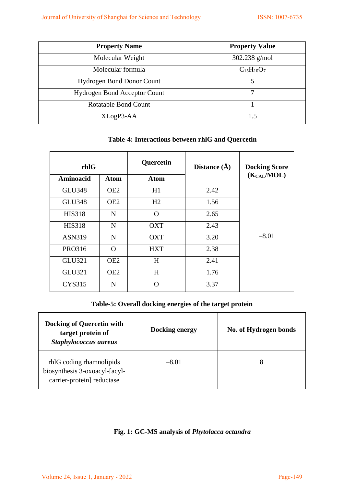| <b>Property Name</b>                | <b>Property Value</b> |  |  |
|-------------------------------------|-----------------------|--|--|
| Molecular Weight                    | 302.238 $g/mol$       |  |  |
| Molecular formula                   | $C_{15}H_{10}O_7$     |  |  |
| <b>Hydrogen Bond Donor Count</b>    | 5                     |  |  |
| <b>Hydrogen Bond Acceptor Count</b> |                       |  |  |
| <b>Rotatable Bond Count</b>         |                       |  |  |
| XLogP3-AA                           | 1.5                   |  |  |

## **Table-4: Interactions between rhlG and Quercetin**

| rhlG               |                 | Quercetin          | Distance $(\AA)$ |                 |  |
|--------------------|-----------------|--------------------|------------------|-----------------|--|
| Aminoacid          | Atom            | Atom               |                  | $(K_{CAI}/MOL)$ |  |
| <b>GLU348</b>      | OE <sub>2</sub> | H1                 | 2.42             |                 |  |
| <b>GLU348</b>      | OE <sub>2</sub> | H2                 | 1.56             |                 |  |
| <b>HIS318</b>      | N               | $\Omega$           | 2.65             |                 |  |
| <b>HIS318</b>      | N               | <b>OXT</b>         | 2.43             |                 |  |
| <b>ASN319</b>      | N               | <b>OXT</b>         | 3.20             | $-8.01$         |  |
| PRO316<br>$\Omega$ |                 | 2.38<br><b>HXT</b> |                  |                 |  |
| <b>GLU321</b>      | OE <sub>2</sub> | H                  | 2.41             |                 |  |
| <b>GLU321</b>      | OE <sub>2</sub> | H                  | 1.76             |                 |  |
| <b>CYS315</b>      | N               | $\cap$             | 3.37             |                 |  |

## **Table-5: Overall docking energies of the target protein**

| <b>Docking of Quercetin with</b><br>target protein of<br>Staphylococcus aureus          | Docking energy | No. of Hydrogen bonds |
|-----------------------------------------------------------------------------------------|----------------|-----------------------|
| rhlG coding rhamnolipids<br>biosynthesis 3-oxoacyl-[acyl-<br>carrier-protein] reductase | $-8.01$        | 8                     |

## **Fig. 1: GC-MS analysis of** *Phytolacca octandra*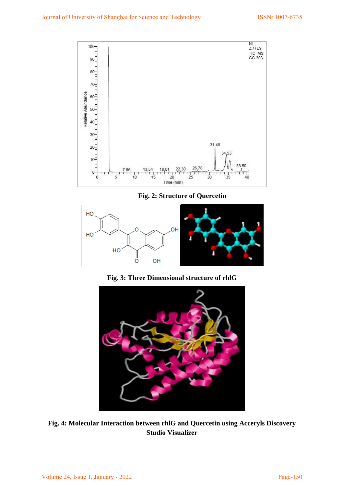

**Fig. 2: Structure of Quercetin** 



**Fig. 3: Three Dimensional structure of rhlG** 



**Fig. 4: Molecular Interaction between rhlG and Quercetin using Acceryls Discovery Studio Visualizer**